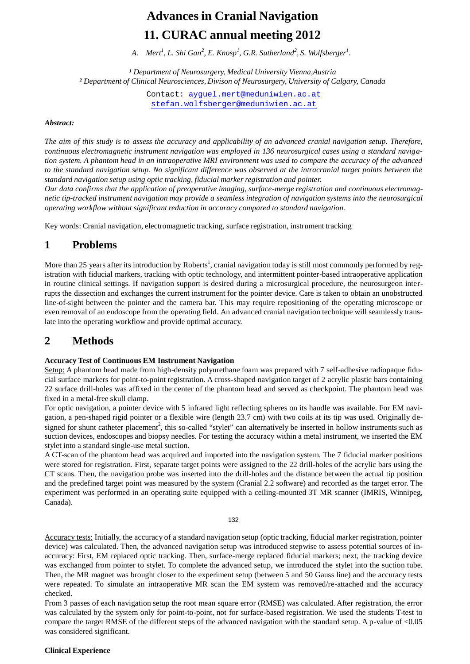# **Advances in Cranial Navigation 11. CURAC annual meeting 2012**

*A. Mert 1 , L. Shi Gan<sup>2</sup> , E. Knosp<sup>1</sup> , G.R. Sutherland<sup>2</sup> , S. Wolfsberger 1 .*

*¹ Department of Neurosurgery, Medical University Vienna,Austria ² Department of Clinical Neurosciences, Divison of Neurosurgery, University of Calgary, Canada*

> Contact: [ayguel.mert@meduniwien.ac.at](mailto:ayguel.mert@meduniwien.ac.at) [stefan.wolfsberger@meduniwien.ac.at](mailto:ayguel.mert@meduniwien.ac.at)

#### *Abstract:*

The aim of this study is to assess the accuracy and applicability of an advanced cranial navigation setup. Therefore, *continuous electromagnetic instrument navigation was employed in 136 neurosurgical cases using a standard naviga*tion system. A phantom head in an intraoperative MRI environment was used to compare the accuracy of the advanced to the standard navigation setup. No significant difference was observed at the intracranial target points between the *standard navigation setup using optic tracking, fiducial marker registration and pointer.*

*Our data confirms that the application of preoperative imaging, surface-merge registration and continuous electromagnetic tip-tracked instrument navigation may provide a seamless integration of navigation systems into the neurosurgical operating workflow without significant reduction in accuracy compared to standard navigation.*

Key words: Cranial navigation, electromagnetic tracking, surface registration, instrument tracking

# **1 Problems**

More than 25 years after its introduction by Roberts<sup>1</sup>, cranial navigation today is still most commonly performed by registration with fiducial markers, tracking with optic technology, and intermittent pointer-based intraoperative application in routine clinical settings. If navigation support is desired during a microsurgical procedure, the neurosurgeon interrupts the dissection and exchanges the current instrument for the pointer device. Care is taken to obtain an unobstructed line-of-sight between the pointer and the camera bar. This may require repositioning of the operating microscope or even removal of an endoscope from the operating field. An advanced cranial navigation technique will seamlessly translate into the operating workflow and provide optimal accuracy.

# **2 Methods**

#### **Accuracy Test of Continuous EM Instrument Navigation**

Setup: A phantom head made from high-density polyurethane foam was prepared with 7 self-adhesive radiopaque fiducial surface markers for point-to-point registration. A cross-shaped navigation target of 2 acrylic plastic bars containing 22 surface drill-holes was affixed in the center of the phantom head and served as checkpoint. The phantom head was fixed in a metal-free skull clamp.

For optic navigation, a pointer device with 5 infrared light reflecting spheres on its handle was available. For EM navigation, a pen-shaped rigid pointer or a flexible wire (length 23.7 cm) with two coils at its tip was used. Originally designed for shunt catheter placement<sup>2</sup>, this so-called "stylet" can alternatively be inserted in hollow instruments such as suction devices, endoscopes and biopsy needles. For testing the accuracy within a metal instrument, we inserted the EM stylet into a standard single-use metal suction.

A CT-scan of the phantom head was acquired and imported into the navigation system. The 7 fiducial marker positions were stored for registration. First, separate target points were assigned to the 22 drill-holes of the acrylic bars using the CT scans. Then, the navigation probe was inserted into the drill-holes and the distance between the actual tip position and the predefined target point was measured by the system (Cranial 2.2 software) and recorded as the target error. The experiment was performed in an operating suite equipped with a ceiling-mounted 3T MR scanner (IMRIS, Winnipeg, Canada).

132

Accuracy tests: Initially, the accuracy of a standard navigation setup (optic tracking, fiducial marker registration, pointer device) was calculated. Then, the advanced navigation setup was introduced stepwise to assess potential sources of inaccuracy: First, EM replaced optic tracking. Then, surface-merge replaced fiducial markers; next, the tracking device was exchanged from pointer to stylet. To complete the advanced setup, we introduced the stylet into the suction tube. Then, the MR magnet was brought closer to the experiment setup (between 5 and 50 Gauss line) and the accuracy tests were repeated. To simulate an intraoperative MR scan the EM system was removed/re-attached and the accuracy checked.

From 3 passes of each navigation setup the root mean square error (RMSE) was calculated. After registration, the error was calculated by the system only for point-to-point, not for surface-based registration. We used the students T-test to compare the target RMSE of the different steps of the advanced navigation with the standard setup. A p-value of  $< 0.05$ was considered significant.

#### **Clinical Experience**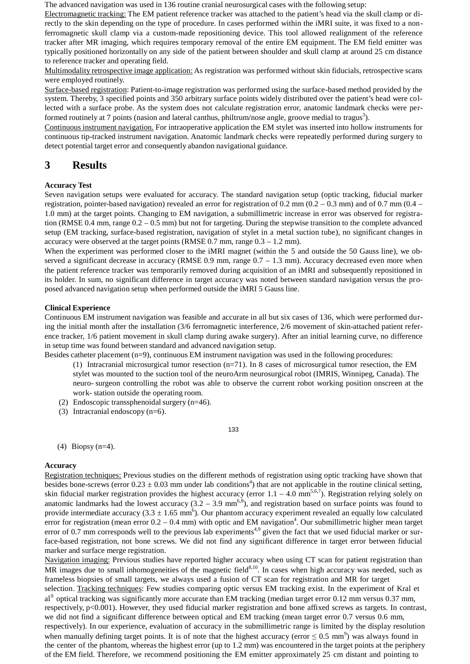The advanced navigation was used in 136 routine cranial neurosurgical cases with the following setup:

Electromagnetic tracking: The EM patient reference tracker was attached to the patient's head via the skull clamp or directly to the skin depending on the type of procedure. In cases performed within the iMRI suite, it was fixed to a nonferromagnetic skull clamp via a custom-made repositioning device. This tool allowed realignment of the reference tracker after MR imaging, which requires temporary removal of the entire EM equipment. The EM field emitter was typically positioned horizontally on any side of the patient between shoulder and skull clamp at around 25 cm distance to reference tracker and operating field.

Multimodality retrospective image application: As registration was performed without skin fiducials, retrospective scans were employed routinely.

Surface-based registration: Patient-to-image registration was performed using the surface-based method provided by the system. Thereby, 3 specified points and 350 arbitrary surface points widely distributed over the patient's head were collected with a surface probe. As the system does not calculate registration error, anatomic landmark checks were performed routinely at 7 points (nasion and lateral canthus, philtrum/nose angle, groove medial to tragus<sup>3</sup>).

Continuous instrument navigation. For intraoperative application the EM stylet was inserted into hollow instruments for continuous tip-tracked instrument navigation. Anatomic landmark checks were repeatedly performed during surgery to detect potential target error and consequently abandon navigational guidance.

### **3 Results**

#### **Accuracy Test**

Seven navigation setups were evaluated for accuracy. The standard navigation setup (optic tracking, fiducial marker registration, pointer-based navigation) revealed an error for registration of 0.2 mm (0.2 – 0.3 mm) and of 0.7 mm (0.4 – 1.0 mm) at the target points. Changing to EM navigation, a submillimetric increase in error was observed for registration (RMSE 0.4 mm, range 0.2 – 0.5 mm) but not for targeting. During the stepwise transition to the complete advanced setup (EM tracking, surface-based registration, navigation of stylet in a metal suction tube), no significant changes in accuracy were observed at the target points (RMSE 0.7 mm, range 0.3 – 1.2 mm).

When the experiment was performed closer to the iMRI magnet (within the 5 and outside the 50 Gauss line), we observed a significant decrease in accuracy (RMSE 0.9 mm, range 0.7 – 1.3 mm). Accuracy decreased even more when the patient reference tracker was temporarily removed during acquisition of an iMRI and subsequently repositioned in its holder. In sum, no significant difference in target accuracy was noted between standard navigation versus the proposed advanced navigation setup when performed outside the iMRI 5 Gauss line.

#### **Clinical Experience**

Continuous EM instrument navigation was feasible and accurate in all but six cases of 136, which were performed during the initial month after the installation (3/6 ferromagnetic interference, 2/6 movement of skin-attached patient reference tracker, 1/6 patient movement in skull clamp during awake surgery). After an initial learning curve, no difference in setup time was found between standard and advanced navigation setup.

Besides catheter placement (n=9), continuous EM instrument navigation was used in the following procedures:

(1) Intracranial microsurgical tumor resection (n=71). In 8 cases of microsurgical tumor resection, the EM stylet was mounted to the suction tool of the neuroArm neurosurgical robot (IMRIS, Winnipeg, Canada). The neuro- surgeon controlling the robot was able to observe the current robot working position onscreen at the work- station outside the operating room.

- (2) Endoscopic transsphenoidal surgery  $(n=46)$ .
- (3) Intracranial endoscopy (n=6).

133

(4) Biopsy (n=4).

#### **Accuracy**

Registration techniques: Previous studies on the different methods of registration using optic tracking have shown that besides bone-screws (error  $0.23 \pm 0.03$  mm under lab conditions<sup>4</sup>) that are not applicable in the routine clinical setting, skin fiducial marker registration provides the highest accuracy (error  $1.1 - 4.0 \text{ mm}^{5.6,7}$ ). Registration relying solely on anatomic landmarks had the lowest accuracy  $(3.2 - 3.9 \text{ mm}^{6,8})$ , and registration based on surface points was found to provide intermediate accuracy  $(3.3 \pm 1.65 \text{ mm}^6)$ . Our phantom accuracy experiment revealed an equally low calculated error for registration (mean error  $0.2 - 0.4$  mm) with optic and EM navigation<sup>4</sup>. Our submillimetric higher mean target error of 0.7 mm corresponds well to the previous lab experiments<sup>4,9</sup> given the fact that we used fiducial marker or surface-based registration, not bone screws. We did not find any significant difference in target error between fiducial marker and surface merge registration.

Navigation imaging: Previous studies have reported higher accuracy when using CT scan for patient registration than MR images due to small inhomogeneities of the magnetic field $8,10$ . In cases when high accuracy was needed, such as frameless biopsies of small targets, we always used a fusion of CT scan for registration and MR for target selection. Tracking techniques: Few studies comparing optic versus EM tracking exist. In the experiment of Kral et al<sup>9</sup> optical tracking was significantly more accurate than EM tracking (median target error 0.12 mm versus 0.37 mm, respectively, p<0.001). However, they used fiducial marker registration and bone affixed screws as targets. In contrast, we did not find a significant difference between optical and EM tracking (mean target error 0.7 versus 0.6 mm, respectively). In our experience, evaluation of accuracy in the submillimetric range is limited by the display resolution when manually defining target points. It is of note that the highest accuracy (error  $\leq 0.5$  mm<sup>9</sup>) was always found in the center of the phantom, whereas the highest error (up to 1.2 mm) was encountered in the target points at the periphery of the EM field. Therefore, we recommend positioning the EM emitter approximately 25 cm distant and pointing to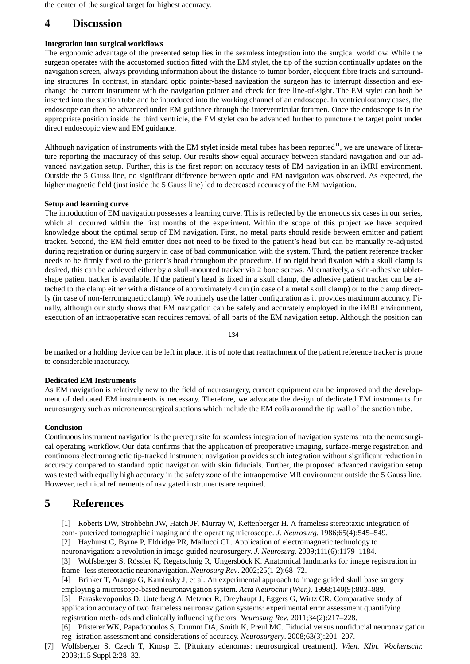the center of the surgical target for highest accuracy.

### **4 Discussion**

#### **Integration into surgical workflows**

The ergonomic advantage of the presented setup lies in the seamless integration into the surgical workflow. While the surgeon operates with the accustomed suction fitted with the EM stylet, the tip of the suction continually updates on the navigation screen, always providing information about the distance to tumor border, eloquent fibre tracts and surrounding structures. In contrast, in standard optic pointer-based navigation the surgeon has to interrupt dissection and exchange the current instrument with the navigation pointer and check for free line-of-sight. The EM stylet can both be inserted into the suction tube and be introduced into the working channel of an endoscope. In ventriculostomy cases, the endoscope can then be advanced under EM guidance through the intervertricular foramen. Once the endoscope is in the appropriate position inside the third ventricle, the EM stylet can be advanced further to puncture the target point under direct endoscopic view and EM guidance.

Although navigation of instruments with the EM stylet inside metal tubes has been reported $^{11}$ , we are unaware of literature reporting the inaccuracy of this setup. Our results show equal accuracy between standard navigation and our advanced navigation setup. Further, this is the first report on accuracy tests of EM navigation in an iMRI environment. Outside the 5 Gauss line, no significant difference between optic and EM navigation was observed. As expected, the higher magnetic field (just inside the 5 Gauss line) led to decreased accuracy of the EM navigation.

#### **Setup and learning curve**

The introduction of EM navigation possesses a learning curve. This is reflected by the erroneous six cases in our series, which all occurred within the first months of the experiment. Within the scope of this project we have acquired knowledge about the optimal setup of EM navigation. First, no metal parts should reside between emitter and patient tracker. Second, the EM field emitter does not need to be fixed to the patient's head but can be manually re-adjusted during registration or during surgery in case of bad communication with the system. Third, the patient reference tracker needs to be firmly fixed to the patient's head throughout the procedure. If no rigid head fixation with a skull clamp is desired, this can be achieved either by a skull-mounted tracker via 2 bone screws. Alternatively, a skin-adhesive tabletshape patient tracker is available. If the patient's head is fixed in a skull clamp, the adhesive patient tracker can be attached to the clamp either with a distance of approximately 4 cm (in case of a metal skull clamp) or to the clamp directly (in case of non-ferromagnetic clamp). We routinely use the latter configuration as it provides maximum accuracy. Finally, although our study shows that EM navigation can be safely and accurately employed in the iMRI environment, execution of an intraoperative scan requires removal of all parts of the EM navigation setup. Although the position can

134

be marked or a holding device can be left in place, it is of note that reattachment of the patient reference tracker is prone to considerable inaccuracy.

#### **Dedicated EM Instruments**

As EM navigation is relatively new to the field of neurosurgery, current equipment can be improved and the development of dedicated EM instruments is necessary. Therefore, we advocate the design of dedicated EM instruments for neurosurgery such as microneurosurgical suctions which include the EM coils around the tip wall of the suction tube.

#### **Conclusion**

Continuous instrument navigation is the prerequisite for seamless integration of navigation systems into the neurosurgical operating workflow. Our data confirms that the application of preoperative imaging, surface-merge registration and continuous electromagnetic tip-tracked instrument navigation provides such integration without significant reduction in accuracy compared to standard optic navigation with skin fiducials. Further, the proposed advanced navigation setup was tested with equally high accuracy in the safety zone of the intraoperative MR environment outside the 5 Gauss line. However, technical refinements of navigated instruments are required.

## **5 References**

[1] Roberts DW, Strohbehn JW, Hatch JF, Murray W, Kettenberger H. A frameless stereotaxic integration of com- puterized tomographic imaging and the operating microscope. *J. Neurosurg.* 1986;65(4):545–549.

- [2] Hayhurst C, Byrne P, Eldridge PR, Mallucci CL. Application of electromagnetic technology to
- neuronavigation: a revolution in image-guided neurosurgery. *J. Neurosurg.* 2009;111(6):1179–1184.

[5] Paraskevopoulos D, Unterberg A, Metzner R, Dreyhaupt J, Eggers G, Wirtz CR. Comparative study of application accuracy of two frameless neuronavigation systems: experimental error assessment quantifying registration meth- ods and clinically influencing factors. *Neurosurg Rev*. 2011;34(2):217–228.

[6] Pfisterer WK, Papadopoulos S, Drumm DA, Smith K, Preul MC. Fiducial versus nonfiducial neuronavigation reg- istration assessment and considerations of accuracy. *Neurosurgery*. 2008;63(3):201–207.

[7] Wolfsberger S, Czech T, Knosp E. [Pituitary adenomas: neurosurgical treatment]. *Wien. Klin. Wochenschr.* 2003;115 Suppl 2:28–32.

<sup>[3]</sup> Wolfsberger S, Rössler K, Regatschnig R, Ungersböck K. Anatomical landmarks for image registration in frame- less stereotactic neuronavigation. *Neurosurg Rev*. 2002;25(1-2):68–72.

<sup>[4]</sup> Brinker T, Arango G, Kaminsky J, et al. An experimental approach to image guided skull base surgery employing a microscope-based neuronavigation system. *Acta Neurochir (Wien)*. 1998;140(9):883–889.